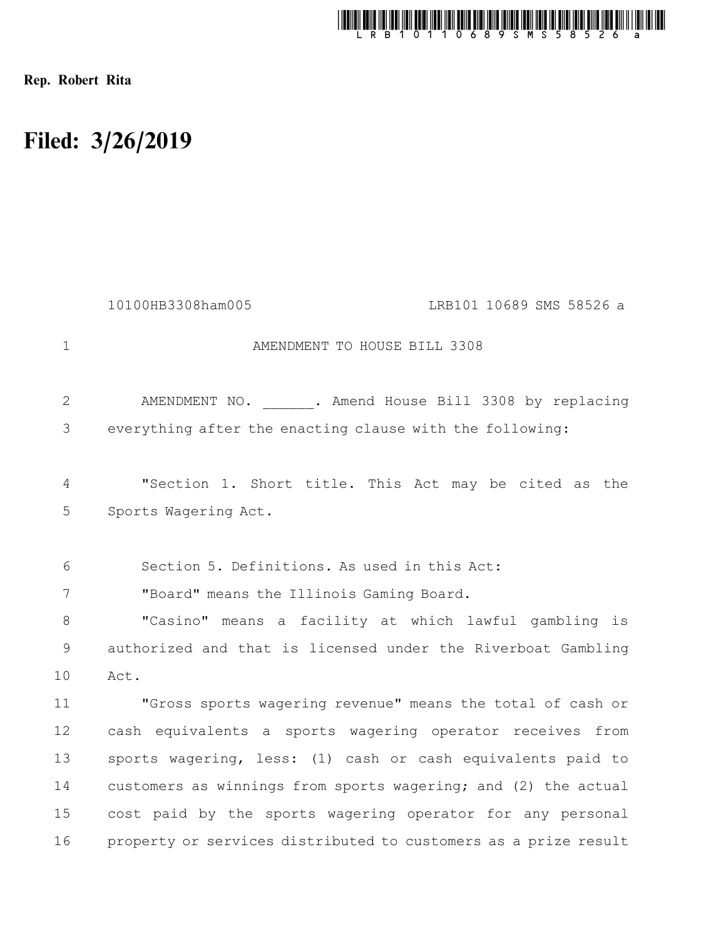

Rep. Robert Rita

## Filed: 3/26/2019

|                | 10100HB3308ham005                                               | LRB101 10689 SMS 58526 a |
|----------------|-----------------------------------------------------------------|--------------------------|
| $\mathbf 1$    | AMENDMENT TO HOUSE BILL 3308                                    |                          |
| $\overline{2}$ | AMENDMENT NO. . Amend House Bill 3308 by replacing              |                          |
| 3              | everything after the enacting clause with the following:        |                          |
| 4              | "Section 1. Short title. This Act may be cited as the           |                          |
| 5              | Sports Wagering Act.                                            |                          |
| 6              | Section 5. Definitions. As used in this Act:                    |                          |
| 7              | "Board" means the Illinois Gaming Board.                        |                          |
| 8              | "Casino" means a facility at which lawful gambling is           |                          |
| 9              | authorized and that is licensed under the Riverboat Gambling    |                          |
| 10             | Act.                                                            |                          |
| 11             | "Gross sports wagering revenue" means the total of cash or      |                          |
| 12             | cash equivalents a sports wagering operator receives from       |                          |
| 13             | sports wagering, less: (1) cash or cash equivalents paid to     |                          |
| 14             | customers as winnings from sports wagering; and (2) the actual  |                          |
| 15             | cost paid by the sports wagering operator for any personal      |                          |
| 16             | property or services distributed to customers as a prize result |                          |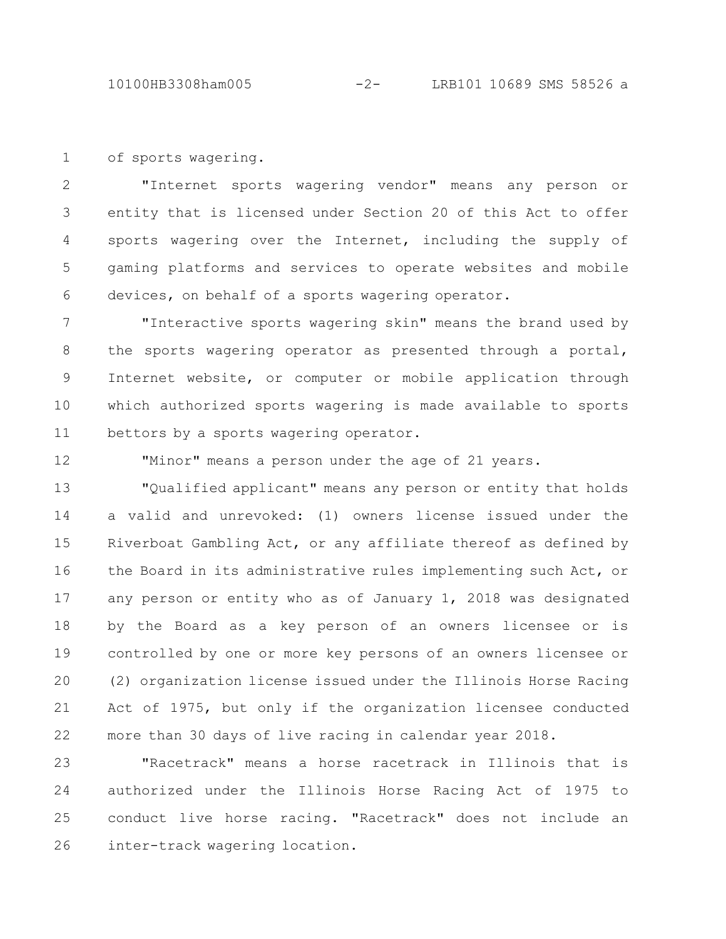10100HB3308ham005 -2- LRB101 10689 SMS 58526 a

of sports wagering. 1

"Internet sports wagering vendor" means any person or entity that is licensed under Section 20 of this Act to offer sports wagering over the Internet, including the supply of gaming platforms and services to operate websites and mobile devices, on behalf of a sports wagering operator. 2 3 4 5 6

"Interactive sports wagering skin" means the brand used by the sports wagering operator as presented through a portal, Internet website, or computer or mobile application through which authorized sports wagering is made available to sports bettors by a sports wagering operator. 7 8 9 10 11

12

"Minor" means a person under the age of 21 years.

"Qualified applicant" means any person or entity that holds a valid and unrevoked: (1) owners license issued under the Riverboat Gambling Act, or any affiliate thereof as defined by the Board in its administrative rules implementing such Act, or any person or entity who as of January 1, 2018 was designated by the Board as a key person of an owners licensee or is controlled by one or more key persons of an owners licensee or (2) organization license issued under the Illinois Horse Racing Act of 1975, but only if the organization licensee conducted more than 30 days of live racing in calendar year 2018. 13 14 15 16 17 18 19 20 21 22

"Racetrack" means a horse racetrack in Illinois that is authorized under the Illinois Horse Racing Act of 1975 to conduct live horse racing. "Racetrack" does not include an inter-track wagering location. 23 24 25 26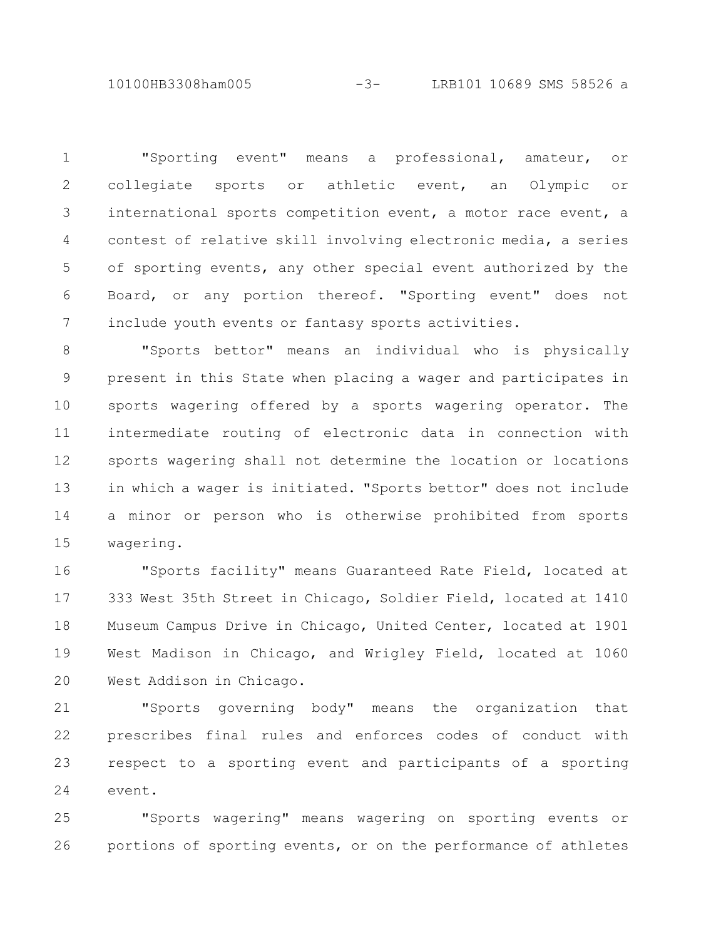10100HB3308ham005 -3- LRB101 10689 SMS 58526 a

"Sporting event" means a professional, amateur, or collegiate sports or athletic event, an Olympic or international sports competition event, a motor race event, a contest of relative skill involving electronic media, a series of sporting events, any other special event authorized by the Board, or any portion thereof. "Sporting event" does not include youth events or fantasy sports activities. 1 2 3 4 5 6 7

"Sports bettor" means an individual who is physically present in this State when placing a wager and participates in sports wagering offered by a sports wagering operator. The intermediate routing of electronic data in connection with sports wagering shall not determine the location or locations in which a wager is initiated. "Sports bettor" does not include a minor or person who is otherwise prohibited from sports wagering. 8 9 10 11 12 13 14 15

"Sports facility" means Guaranteed Rate Field, located at 333 West 35th Street in Chicago, Soldier Field, located at 1410 Museum Campus Drive in Chicago, United Center, located at 1901 West Madison in Chicago, and Wrigley Field, located at 1060 West Addison in Chicago. 16 17 18 19 20

"Sports governing body" means the organization that prescribes final rules and enforces codes of conduct with respect to a sporting event and participants of a sporting event. 21 22 23 24

"Sports wagering" means wagering on sporting events or portions of sporting events, or on the performance of athletes 25 26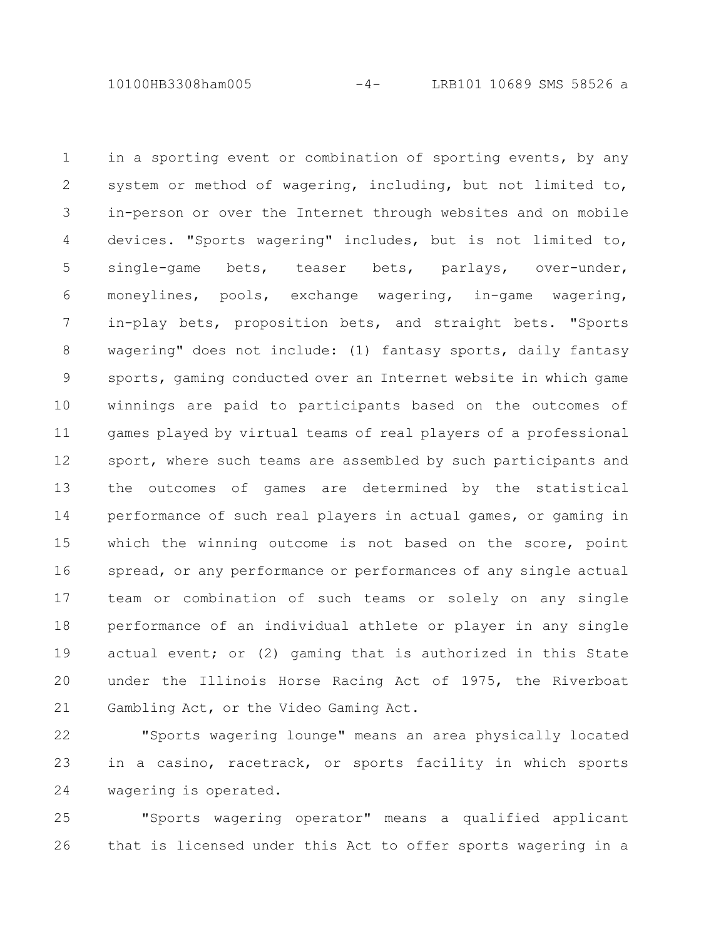10100HB3308ham005 -4- LRB101 10689 SMS 58526 a

in a sporting event or combination of sporting events, by any system or method of wagering, including, but not limited to, in-person or over the Internet through websites and on mobile devices. "Sports wagering" includes, but is not limited to, single-game bets, teaser bets, parlays, over-under, moneylines, pools, exchange wagering, in-game wagering, in-play bets, proposition bets, and straight bets. "Sports wagering" does not include: (1) fantasy sports, daily fantasy sports, gaming conducted over an Internet website in which game winnings are paid to participants based on the outcomes of games played by virtual teams of real players of a professional sport, where such teams are assembled by such participants and the outcomes of games are determined by the statistical performance of such real players in actual games, or gaming in which the winning outcome is not based on the score, point spread, or any performance or performances of any single actual team or combination of such teams or solely on any single performance of an individual athlete or player in any single actual event; or (2) gaming that is authorized in this State under the Illinois Horse Racing Act of 1975, the Riverboat Gambling Act, or the Video Gaming Act. 1 2 3 4 5 6 7 8 9 10 11 12 13 14 15 16 17 18 19 20 21

"Sports wagering lounge" means an area physically located in a casino, racetrack, or sports facility in which sports wagering is operated. 22 23 24

"Sports wagering operator" means a qualified applicant that is licensed under this Act to offer sports wagering in a 25 26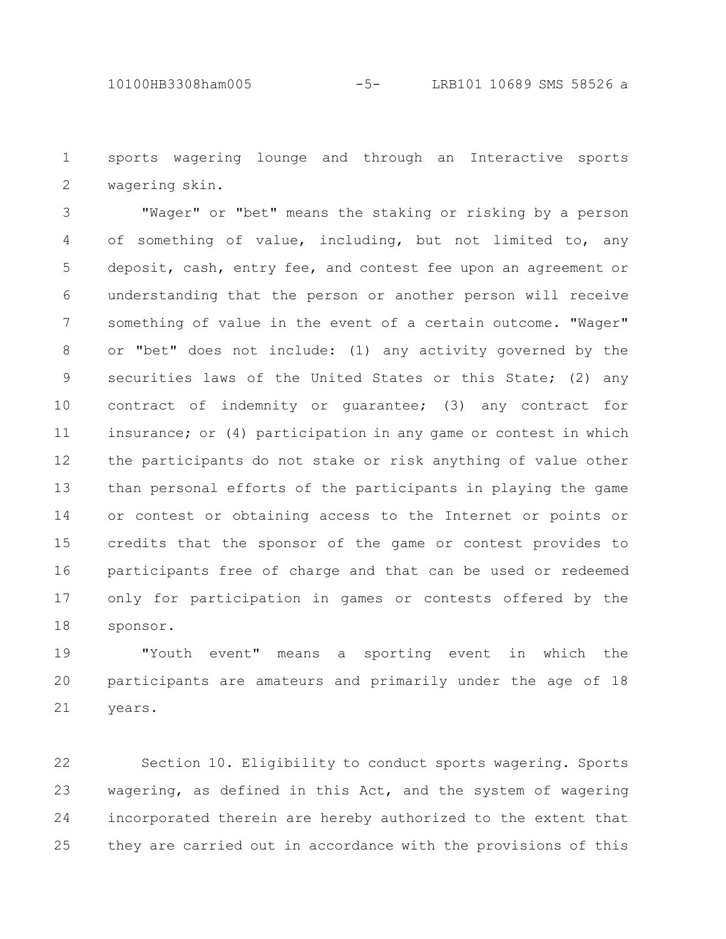sports wagering lounge and through an Interactive sports wagering skin. 1 2

"Wager" or "bet" means the staking or risking by a person of something of value, including, but not limited to, any deposit, cash, entry fee, and contest fee upon an agreement or understanding that the person or another person will receive something of value in the event of a certain outcome. "Wager" or "bet" does not include: (1) any activity governed by the securities laws of the United States or this State; (2) any contract of indemnity or guarantee; (3) any contract for insurance; or (4) participation in any game or contest in which the participants do not stake or risk anything of value other than personal efforts of the participants in playing the game or contest or obtaining access to the Internet or points or credits that the sponsor of the game or contest provides to participants free of charge and that can be used or redeemed only for participation in games or contests offered by the sponsor. 3 4 5 6 7 8 9 10 11 12 13 14 15 16 17 18

"Youth event" means a sporting event in which the participants are amateurs and primarily under the age of 18 years. 19 20 21

Section 10. Eligibility to conduct sports wagering. Sports wagering, as defined in this Act, and the system of wagering incorporated therein are hereby authorized to the extent that they are carried out in accordance with the provisions of this 22 23 24 25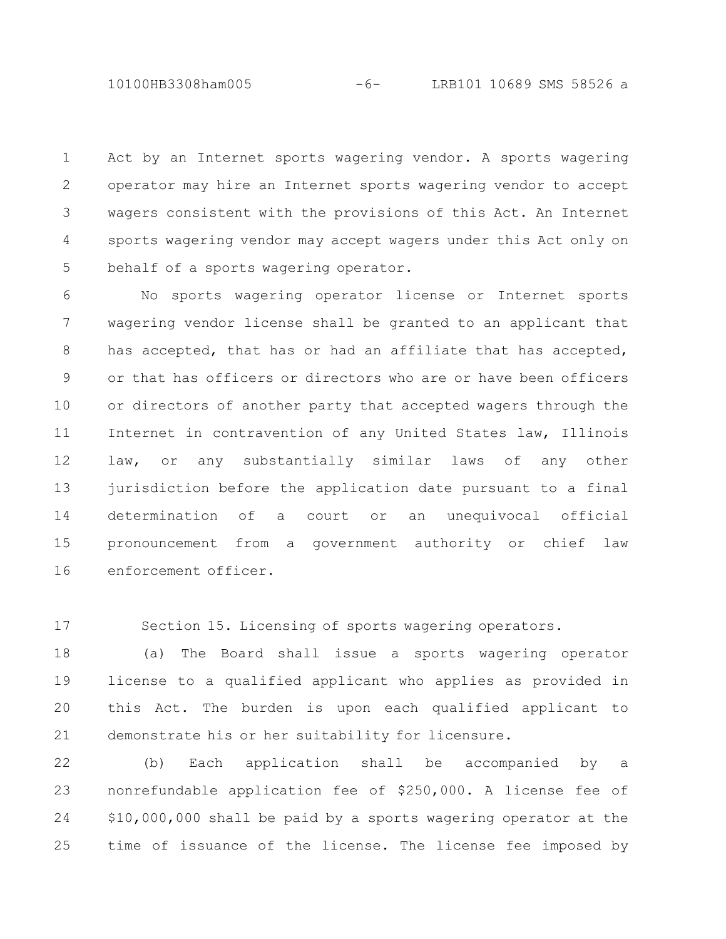10100HB3308ham005 -6- LRB101 10689 SMS 58526 a

Act by an Internet sports wagering vendor. A sports wagering operator may hire an Internet sports wagering vendor to accept wagers consistent with the provisions of this Act. An Internet sports wagering vendor may accept wagers under this Act only on behalf of a sports wagering operator. 1 2 3 4 5

No sports wagering operator license or Internet sports wagering vendor license shall be granted to an applicant that has accepted, that has or had an affiliate that has accepted, or that has officers or directors who are or have been officers or directors of another party that accepted wagers through the Internet in contravention of any United States law, Illinois law, or any substantially similar laws of any other jurisdiction before the application date pursuant to a final determination of a court or an unequivocal official pronouncement from a government authority or chief law enforcement officer. 6 7 8 9 10 11 12 13 14 15 16

17

Section 15. Licensing of sports wagering operators.

(a) The Board shall issue a sports wagering operator license to a qualified applicant who applies as provided in this Act. The burden is upon each qualified applicant to demonstrate his or her suitability for licensure. 18 19 20 21

(b) Each application shall be accompanied by a nonrefundable application fee of \$250,000. A license fee of \$10,000,000 shall be paid by a sports wagering operator at the time of issuance of the license. The license fee imposed by 22 23 24 25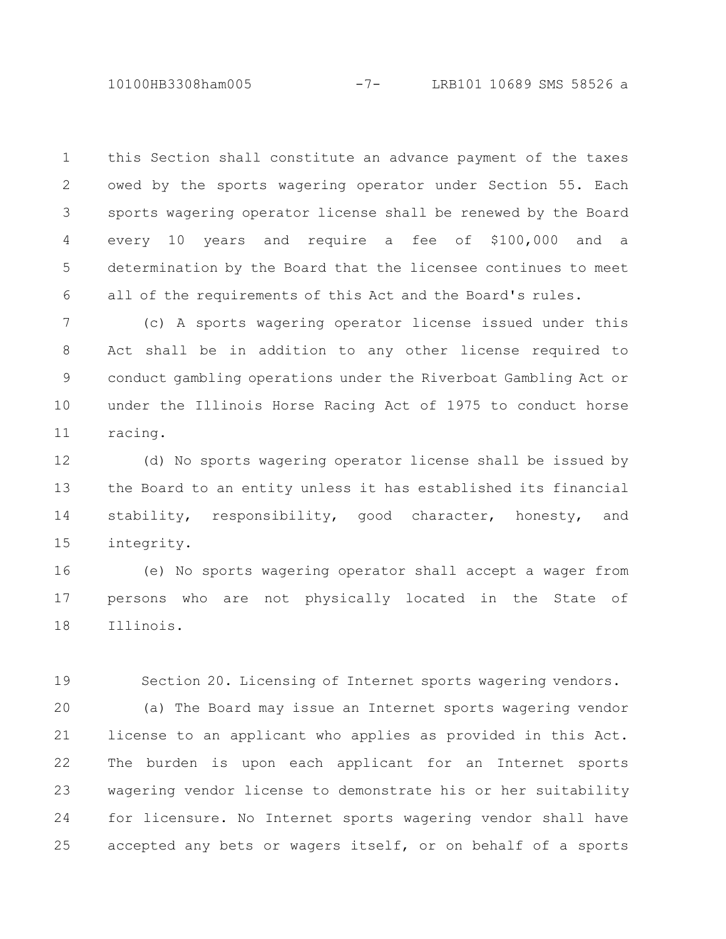10100HB3308ham005 -7- LRB101 10689 SMS 58526 a

this Section shall constitute an advance payment of the taxes owed by the sports wagering operator under Section 55. Each sports wagering operator license shall be renewed by the Board every 10 years and require a fee of \$100,000 and a determination by the Board that the licensee continues to meet all of the requirements of this Act and the Board's rules. 1 2 3 4 5 6

(c) A sports wagering operator license issued under this Act shall be in addition to any other license required to conduct gambling operations under the Riverboat Gambling Act or under the Illinois Horse Racing Act of 1975 to conduct horse racing. 7 8 9 10 11

(d) No sports wagering operator license shall be issued by the Board to an entity unless it has established its financial stability, responsibility, good character, honesty, and integrity. 12 13 14 15

(e) No sports wagering operator shall accept a wager from persons who are not physically located in the State of Illinois. 16 17 18

Section 20. Licensing of Internet sports wagering vendors. 19

(a) The Board may issue an Internet sports wagering vendor license to an applicant who applies as provided in this Act. The burden is upon each applicant for an Internet sports wagering vendor license to demonstrate his or her suitability for licensure. No Internet sports wagering vendor shall have accepted any bets or wagers itself, or on behalf of a sports 20 21 22 23 24 25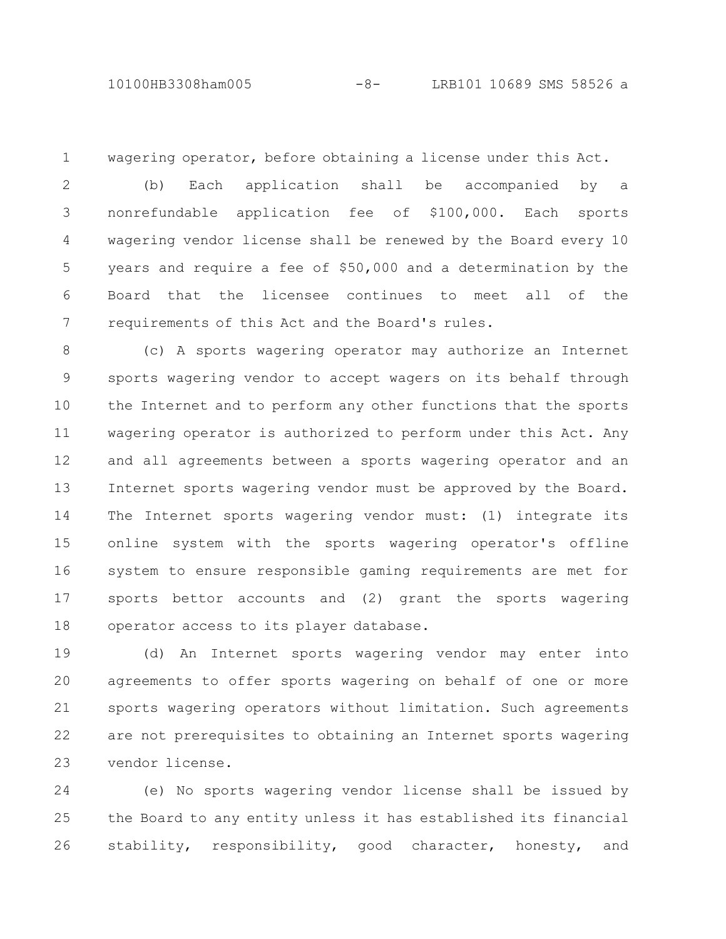## 10100HB3308ham005 -8- LRB101 10689 SMS 58526 a

1

wagering operator, before obtaining a license under this Act.

(b) Each application shall be accompanied by a nonrefundable application fee of \$100,000. Each sports wagering vendor license shall be renewed by the Board every 10 years and require a fee of \$50,000 and a determination by the Board that the licensee continues to meet all of the requirements of this Act and the Board's rules. 2 3 4 5 6 7

(c) A sports wagering operator may authorize an Internet sports wagering vendor to accept wagers on its behalf through the Internet and to perform any other functions that the sports wagering operator is authorized to perform under this Act. Any and all agreements between a sports wagering operator and an Internet sports wagering vendor must be approved by the Board. The Internet sports wagering vendor must: (1) integrate its online system with the sports wagering operator's offline system to ensure responsible gaming requirements are met for sports bettor accounts and (2) grant the sports wagering operator access to its player database. 8 9 10 11 12 13 14 15 16 17 18

(d) An Internet sports wagering vendor may enter into agreements to offer sports wagering on behalf of one or more sports wagering operators without limitation. Such agreements are not prerequisites to obtaining an Internet sports wagering vendor license. 19 20 21 22 23

(e) No sports wagering vendor license shall be issued by the Board to any entity unless it has established its financial stability, responsibility, good character, honesty, and 24 25 26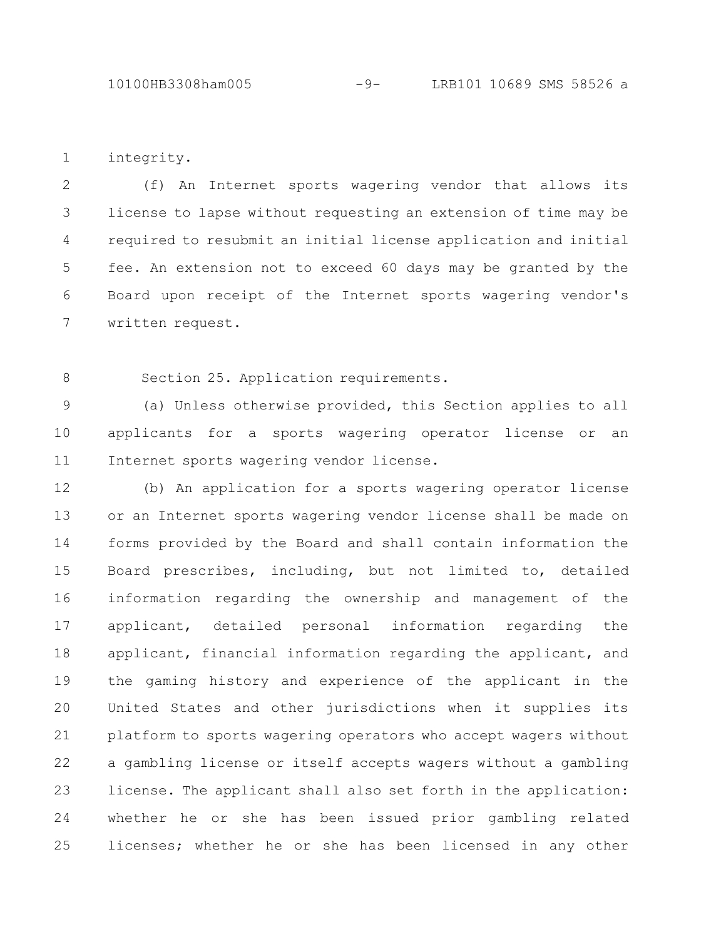integrity. 1

(f) An Internet sports wagering vendor that allows its license to lapse without requesting an extension of time may be required to resubmit an initial license application and initial fee. An extension not to exceed 60 days may be granted by the Board upon receipt of the Internet sports wagering vendor's written request. 2 3 4 5 6 7

Section 25. Application requirements. 8

(a) Unless otherwise provided, this Section applies to all applicants for a sports wagering operator license or an Internet sports wagering vendor license. 9 10 11

(b) An application for a sports wagering operator license or an Internet sports wagering vendor license shall be made on forms provided by the Board and shall contain information the Board prescribes, including, but not limited to, detailed information regarding the ownership and management of the applicant, detailed personal information regarding the applicant, financial information regarding the applicant, and the gaming history and experience of the applicant in the United States and other jurisdictions when it supplies its platform to sports wagering operators who accept wagers without a gambling license or itself accepts wagers without a gambling license. The applicant shall also set forth in the application: whether he or she has been issued prior gambling related licenses; whether he or she has been licensed in any other 12 13 14 15 16 17 18 19 20 21 22 23 24 25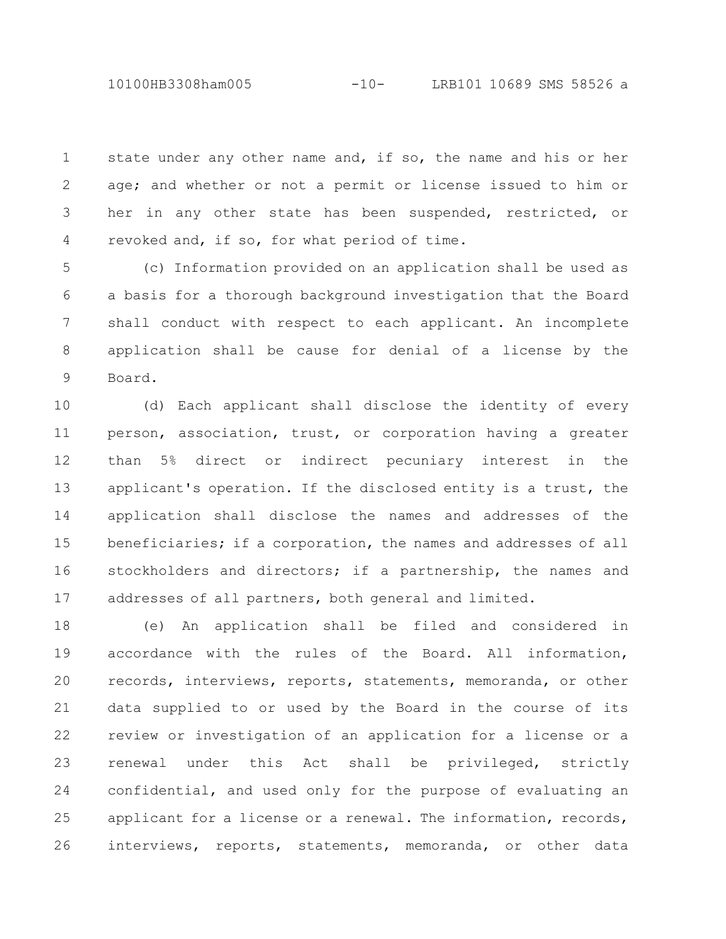10100HB3308ham005 -10- LRB101 10689 SMS 58526 a

state under any other name and, if so, the name and his or her age; and whether or not a permit or license issued to him or her in any other state has been suspended, restricted, or revoked and, if so, for what period of time. 1 2 3 4

(c) Information provided on an application shall be used as a basis for a thorough background investigation that the Board shall conduct with respect to each applicant. An incomplete application shall be cause for denial of a license by the Board. 5 6 7 8 9

(d) Each applicant shall disclose the identity of every person, association, trust, or corporation having a greater than 5% direct or indirect pecuniary interest in the applicant's operation. If the disclosed entity is a trust, the application shall disclose the names and addresses of the beneficiaries; if a corporation, the names and addresses of all stockholders and directors; if a partnership, the names and addresses of all partners, both general and limited. 10 11 12 13 14 15 16 17

(e) An application shall be filed and considered in accordance with the rules of the Board. All information, records, interviews, reports, statements, memoranda, or other data supplied to or used by the Board in the course of its review or investigation of an application for a license or a renewal under this Act shall be privileged, strictly confidential, and used only for the purpose of evaluating an applicant for a license or a renewal. The information, records, interviews, reports, statements, memoranda, or other data 18 19 20 21 22 23 24 25 26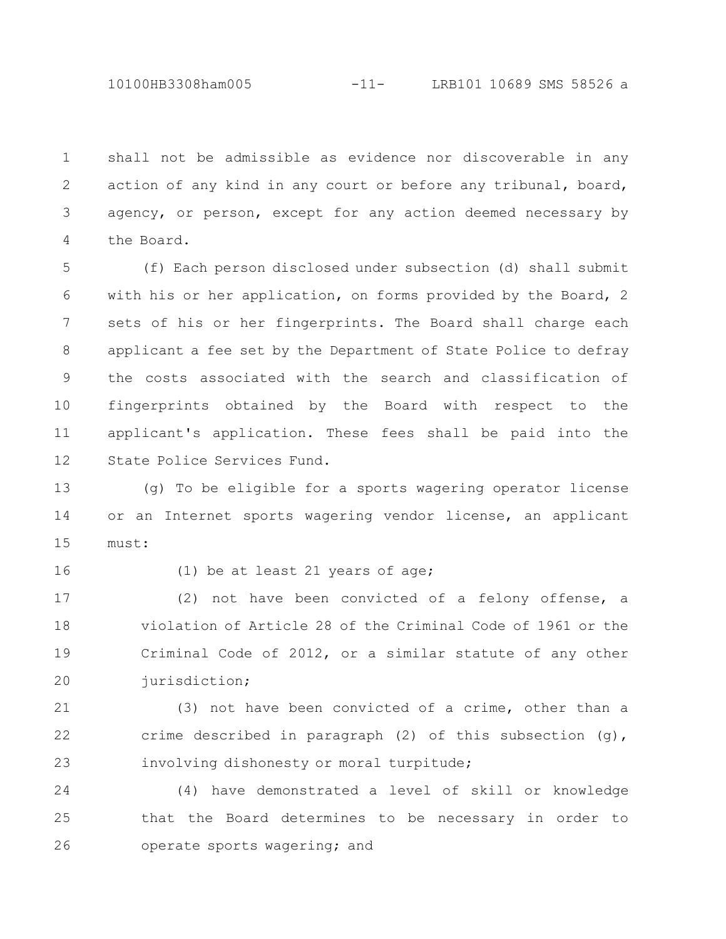shall not be admissible as evidence nor discoverable in any action of any kind in any court or before any tribunal, board, agency, or person, except for any action deemed necessary by the Board. 1 2 3 4

(f) Each person disclosed under subsection (d) shall submit with his or her application, on forms provided by the Board, 2 sets of his or her fingerprints. The Board shall charge each applicant a fee set by the Department of State Police to defray the costs associated with the search and classification of fingerprints obtained by the Board with respect to the applicant's application. These fees shall be paid into the State Police Services Fund. 5 6 7 8 9 10 11 12

(g) To be eligible for a sports wagering operator license or an Internet sports wagering vendor license, an applicant must: 13 14 15

16

(1) be at least 21 years of age;

(2) not have been convicted of a felony offense, a violation of Article 28 of the Criminal Code of 1961 or the Criminal Code of 2012, or a similar statute of any other jurisdiction; 17 18 19 20

(3) not have been convicted of a crime, other than a crime described in paragraph (2) of this subsection (g), involving dishonesty or moral turpitude; 21 22 23

(4) have demonstrated a level of skill or knowledge that the Board determines to be necessary in order to operate sports wagering; and 24 25 26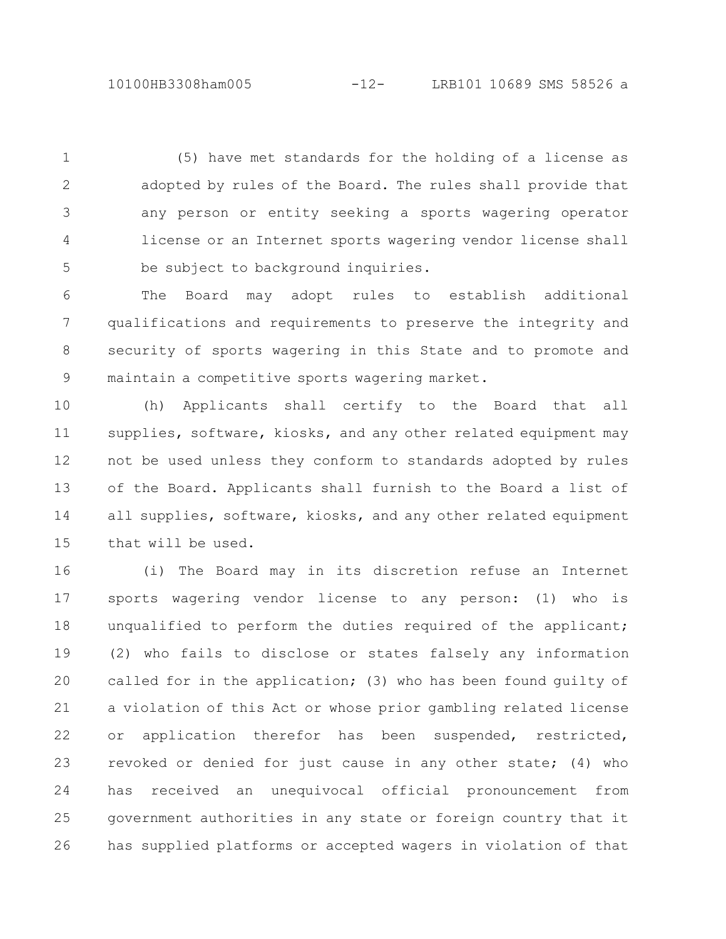(5) have met standards for the holding of a license as adopted by rules of the Board. The rules shall provide that any person or entity seeking a sports wagering operator license or an Internet sports wagering vendor license shall be subject to background inquiries. 1 2 3 4 5

The Board may adopt rules to establish additional qualifications and requirements to preserve the integrity and security of sports wagering in this State and to promote and maintain a competitive sports wagering market. 6 7 8 9

(h) Applicants shall certify to the Board that all supplies, software, kiosks, and any other related equipment may not be used unless they conform to standards adopted by rules of the Board. Applicants shall furnish to the Board a list of all supplies, software, kiosks, and any other related equipment that will be used. 10 11 12 13 14 15

(i) The Board may in its discretion refuse an Internet sports wagering vendor license to any person: (1) who is unqualified to perform the duties required of the applicant; (2) who fails to disclose or states falsely any information called for in the application; (3) who has been found guilty of a violation of this Act or whose prior gambling related license or application therefor has been suspended, restricted, revoked or denied for just cause in any other state; (4) who has received an unequivocal official pronouncement from government authorities in any state or foreign country that it has supplied platforms or accepted wagers in violation of that 16 17 18 19 20 21 22 23 24 25 26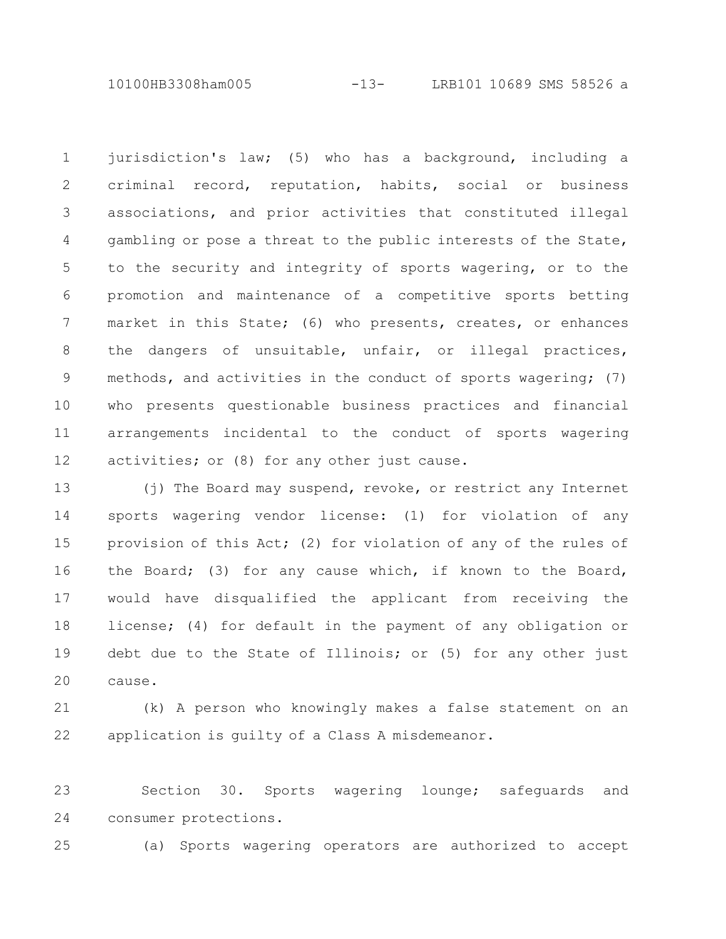10100HB3308ham005 -13- LRB101 10689 SMS 58526 a

jurisdiction's law; (5) who has a background, including a criminal record, reputation, habits, social or business associations, and prior activities that constituted illegal gambling or pose a threat to the public interests of the State, to the security and integrity of sports wagering, or to the promotion and maintenance of a competitive sports betting market in this State; (6) who presents, creates, or enhances the dangers of unsuitable, unfair, or illegal practices, methods, and activities in the conduct of sports wagering; (7) who presents questionable business practices and financial arrangements incidental to the conduct of sports wagering activities; or (8) for any other just cause. 1 2 3 4 5 6 7 8 9 10 11 12

(j) The Board may suspend, revoke, or restrict any Internet sports wagering vendor license: (1) for violation of any provision of this Act; (2) for violation of any of the rules of the Board; (3) for any cause which, if known to the Board, would have disqualified the applicant from receiving the license; (4) for default in the payment of any obligation or debt due to the State of Illinois; or (5) for any other just cause. 13 14 15 16 17 18 19 20

(k) A person who knowingly makes a false statement on an application is guilty of a Class A misdemeanor. 21 22

Section 30. Sports wagering lounge; safeguards and consumer protections. 23 24

(a) Sports wagering operators are authorized to accept 25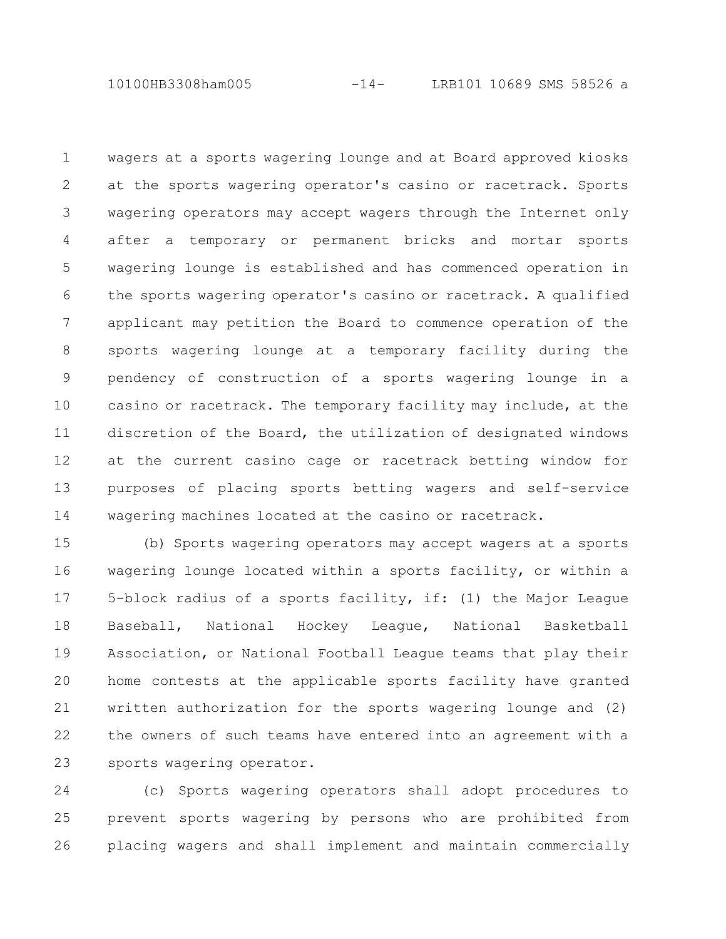10100HB3308ham005 -14- LRB101 10689 SMS 58526 a

wagers at a sports wagering lounge and at Board approved kiosks at the sports wagering operator's casino or racetrack. Sports wagering operators may accept wagers through the Internet only after a temporary or permanent bricks and mortar sports wagering lounge is established and has commenced operation in the sports wagering operator's casino or racetrack. A qualified applicant may petition the Board to commence operation of the sports wagering lounge at a temporary facility during the pendency of construction of a sports wagering lounge in a casino or racetrack. The temporary facility may include, at the discretion of the Board, the utilization of designated windows at the current casino cage or racetrack betting window for purposes of placing sports betting wagers and self-service wagering machines located at the casino or racetrack. 1 2 3 4 5 6 7 8 9 10 11 12 13 14

(b) Sports wagering operators may accept wagers at a sports wagering lounge located within a sports facility, or within a 5-block radius of a sports facility, if: (1) the Major League Baseball, National Hockey League, National Basketball Association, or National Football League teams that play their home contests at the applicable sports facility have granted written authorization for the sports wagering lounge and (2) the owners of such teams have entered into an agreement with a sports wagering operator. 15 16 17 18 19 20 21 22 23

(c) Sports wagering operators shall adopt procedures to prevent sports wagering by persons who are prohibited from placing wagers and shall implement and maintain commercially 24 25 26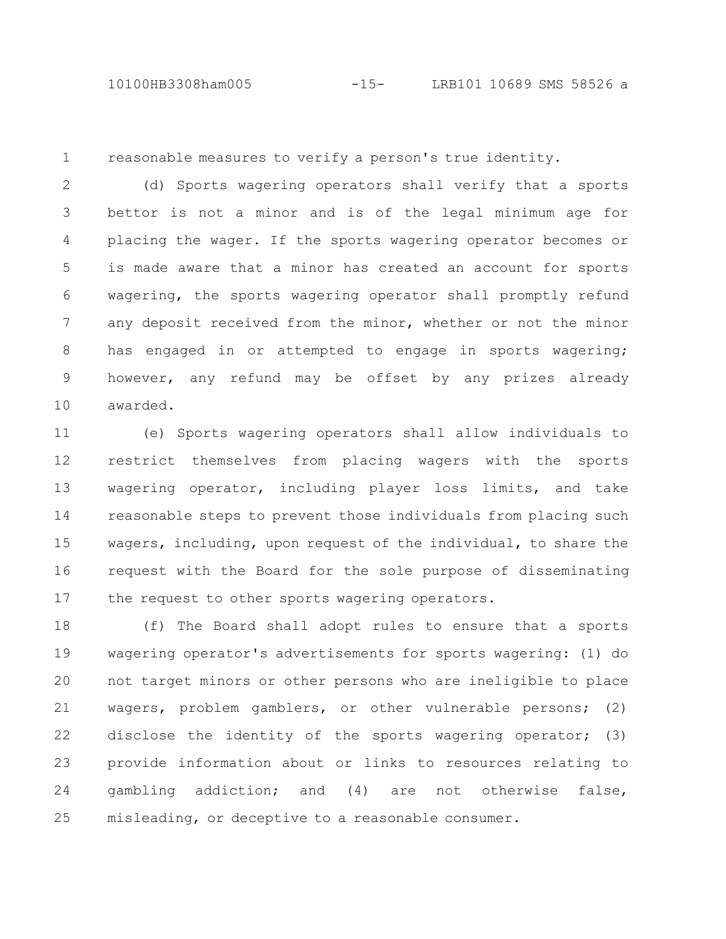10100HB3308ham005 -15- LRB101 10689 SMS 58526 a

1

reasonable measures to verify a person's true identity.

(d) Sports wagering operators shall verify that a sports bettor is not a minor and is of the legal minimum age for placing the wager. If the sports wagering operator becomes or is made aware that a minor has created an account for sports wagering, the sports wagering operator shall promptly refund any deposit received from the minor, whether or not the minor has engaged in or attempted to engage in sports wagering; however, any refund may be offset by any prizes already awarded. 2 3 4 5 6 7 8 9 10

(e) Sports wagering operators shall allow individuals to restrict themselves from placing wagers with the sports wagering operator, including player loss limits, and take reasonable steps to prevent those individuals from placing such wagers, including, upon request of the individual, to share the request with the Board for the sole purpose of disseminating the request to other sports wagering operators. 11 12 13 14 15 16 17

(f) The Board shall adopt rules to ensure that a sports wagering operator's advertisements for sports wagering: (1) do not target minors or other persons who are ineligible to place wagers, problem gamblers, or other vulnerable persons; (2) disclose the identity of the sports wagering operator; (3) provide information about or links to resources relating to gambling addiction; and (4) are not otherwise false, misleading, or deceptive to a reasonable consumer. 18 19 20 21 22 23 24 25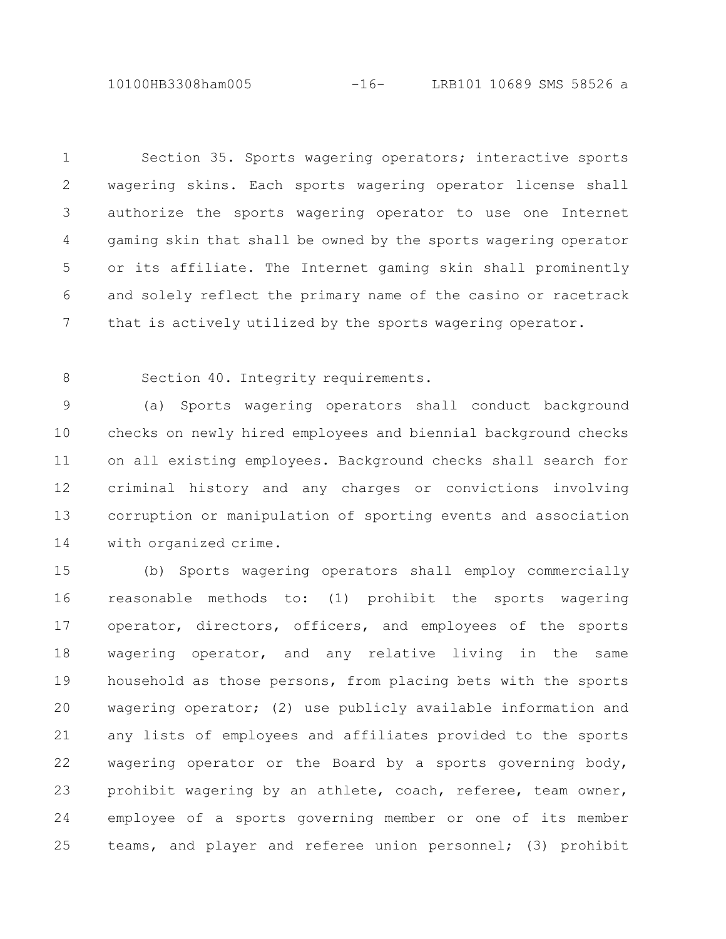10100HB3308ham005 -16- LRB101 10689 SMS 58526 a

Section 35. Sports wagering operators; interactive sports wagering skins. Each sports wagering operator license shall authorize the sports wagering operator to use one Internet gaming skin that shall be owned by the sports wagering operator or its affiliate. The Internet gaming skin shall prominently and solely reflect the primary name of the casino or racetrack that is actively utilized by the sports wagering operator. 1 2 3 4 5 6 7

8

Section 40. Integrity requirements.

(a) Sports wagering operators shall conduct background checks on newly hired employees and biennial background checks on all existing employees. Background checks shall search for criminal history and any charges or convictions involving corruption or manipulation of sporting events and association with organized crime. 9 10 11 12 13 14

(b) Sports wagering operators shall employ commercially reasonable methods to: (1) prohibit the sports wagering operator, directors, officers, and employees of the sports wagering operator, and any relative living in the same household as those persons, from placing bets with the sports wagering operator; (2) use publicly available information and any lists of employees and affiliates provided to the sports wagering operator or the Board by a sports governing body, prohibit wagering by an athlete, coach, referee, team owner, employee of a sports governing member or one of its member teams, and player and referee union personnel; (3) prohibit 15 16 17 18 19 20 21 22 23 24 25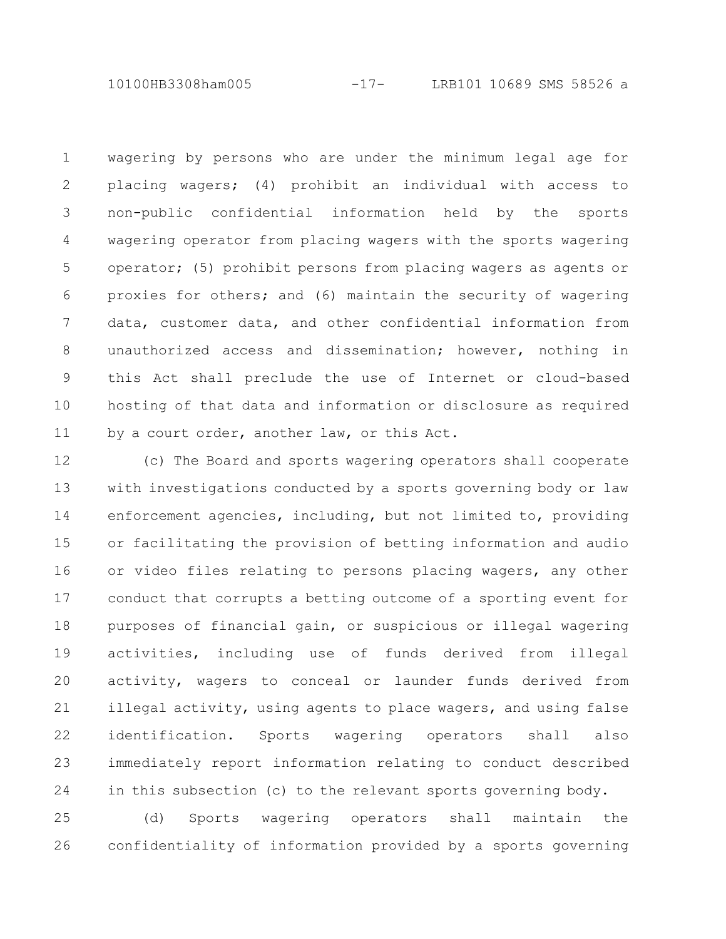10100HB3308ham005 -17- LRB101 10689 SMS 58526 a

wagering by persons who are under the minimum legal age for placing wagers; (4) prohibit an individual with access to non-public confidential information held by the sports wagering operator from placing wagers with the sports wagering operator; (5) prohibit persons from placing wagers as agents or proxies for others; and (6) maintain the security of wagering data, customer data, and other confidential information from unauthorized access and dissemination; however, nothing in this Act shall preclude the use of Internet or cloud-based hosting of that data and information or disclosure as required by a court order, another law, or this Act. 1 2 3 4 5 6 7 8 9 10 11

(c) The Board and sports wagering operators shall cooperate with investigations conducted by a sports governing body or law enforcement agencies, including, but not limited to, providing or facilitating the provision of betting information and audio or video files relating to persons placing wagers, any other conduct that corrupts a betting outcome of a sporting event for purposes of financial gain, or suspicious or illegal wagering activities, including use of funds derived from illegal activity, wagers to conceal or launder funds derived from illegal activity, using agents to place wagers, and using false identification. Sports wagering operators shall also immediately report information relating to conduct described in this subsection (c) to the relevant sports governing body. 12 13 14 15 16 17 18 19 20 21 22 23 24

(d) Sports wagering operators shall maintain the confidentiality of information provided by a sports governing 25 26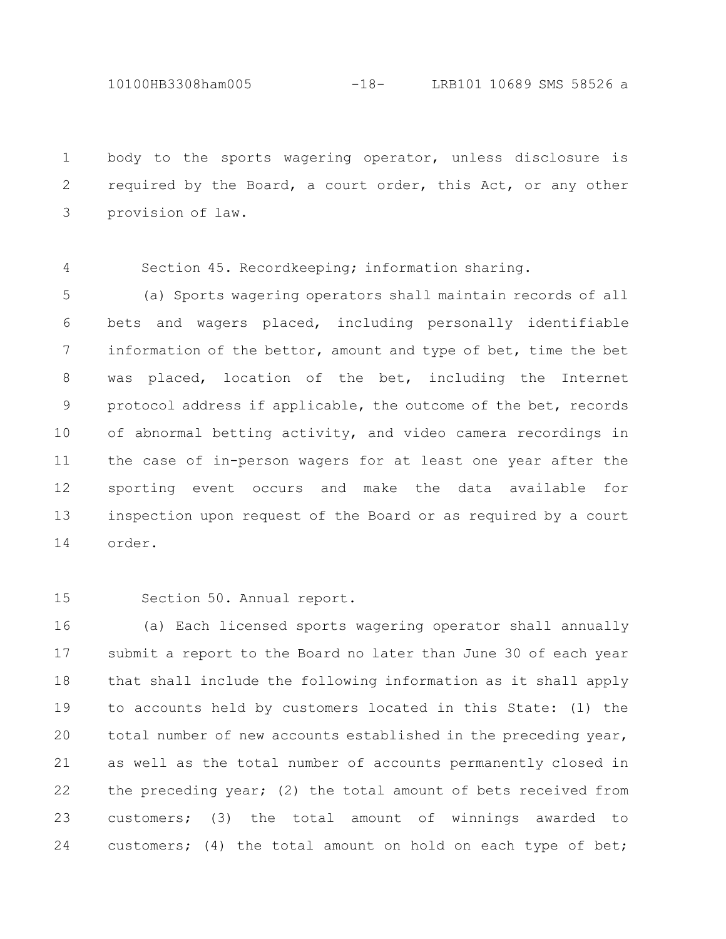10100HB3308ham005 -18- LRB101 10689 SMS 58526 a

body to the sports wagering operator, unless disclosure is required by the Board, a court order, this Act, or any other provision of law. 1 2 3

Section 45. Recordkeeping; information sharing. 4

(a) Sports wagering operators shall maintain records of all bets and wagers placed, including personally identifiable information of the bettor, amount and type of bet, time the bet was placed, location of the bet, including the Internet protocol address if applicable, the outcome of the bet, records of abnormal betting activity, and video camera recordings in the case of in-person wagers for at least one year after the sporting event occurs and make the data available for inspection upon request of the Board or as required by a court order. 5 6 7 8 9 10 11 12 13 14

Section 50. Annual report. 15

(a) Each licensed sports wagering operator shall annually submit a report to the Board no later than June 30 of each year that shall include the following information as it shall apply to accounts held by customers located in this State: (1) the total number of new accounts established in the preceding year, as well as the total number of accounts permanently closed in the preceding year; (2) the total amount of bets received from customers; (3) the total amount of winnings awarded to customers; (4) the total amount on hold on each type of bet; 16 17 18 19 20 21 22 23 24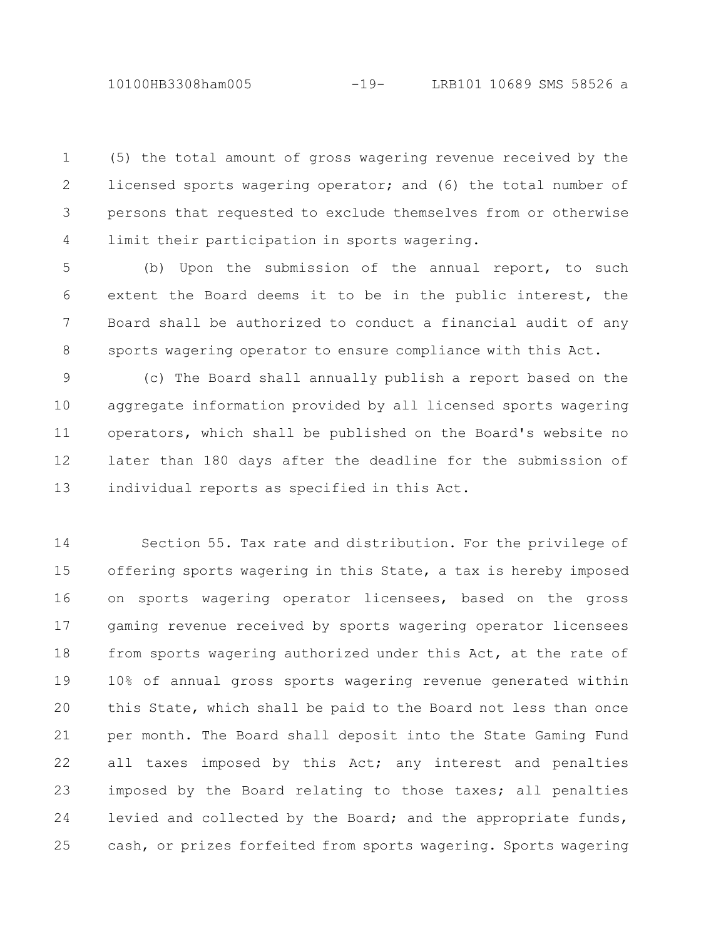(5) the total amount of gross wagering revenue received by the licensed sports wagering operator; and (6) the total number of persons that requested to exclude themselves from or otherwise limit their participation in sports wagering. 1 2 3 4

(b) Upon the submission of the annual report, to such extent the Board deems it to be in the public interest, the Board shall be authorized to conduct a financial audit of any sports wagering operator to ensure compliance with this Act. 5 6 7 8

(c) The Board shall annually publish a report based on the aggregate information provided by all licensed sports wagering operators, which shall be published on the Board's website no later than 180 days after the deadline for the submission of individual reports as specified in this Act. 9 10 11 12 13

Section 55. Tax rate and distribution. For the privilege of offering sports wagering in this State, a tax is hereby imposed on sports wagering operator licensees, based on the gross gaming revenue received by sports wagering operator licensees from sports wagering authorized under this Act, at the rate of 10% of annual gross sports wagering revenue generated within this State, which shall be paid to the Board not less than once per month. The Board shall deposit into the State Gaming Fund all taxes imposed by this Act; any interest and penalties imposed by the Board relating to those taxes; all penalties levied and collected by the Board; and the appropriate funds, cash, or prizes forfeited from sports wagering. Sports wagering 14 15 16 17 18 19 20 21 22 23 24 25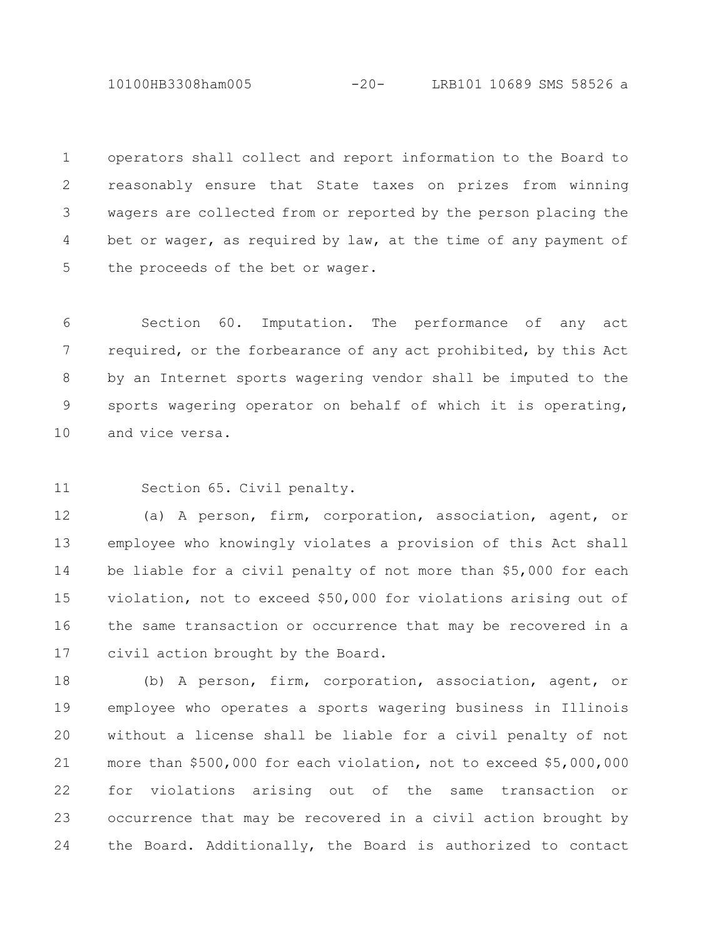10100HB3308ham005 -20- LRB101 10689 SMS 58526 a

operators shall collect and report information to the Board to reasonably ensure that State taxes on prizes from winning wagers are collected from or reported by the person placing the bet or wager, as required by law, at the time of any payment of the proceeds of the bet or wager. 1 2 3 4 5

Section 60. Imputation. The performance of any act required, or the forbearance of any act prohibited, by this Act by an Internet sports wagering vendor shall be imputed to the sports wagering operator on behalf of which it is operating, and vice versa. 6 7 8 9 10

Section 65. Civil penalty. 11

(a) A person, firm, corporation, association, agent, or employee who knowingly violates a provision of this Act shall be liable for a civil penalty of not more than \$5,000 for each violation, not to exceed \$50,000 for violations arising out of the same transaction or occurrence that may be recovered in a civil action brought by the Board. 12 13 14 15 16 17

(b) A person, firm, corporation, association, agent, or employee who operates a sports wagering business in Illinois without a license shall be liable for a civil penalty of not more than \$500,000 for each violation, not to exceed \$5,000,000 for violations arising out of the same transaction or occurrence that may be recovered in a civil action brought by the Board. Additionally, the Board is authorized to contact 18 19 20 21 22 23 24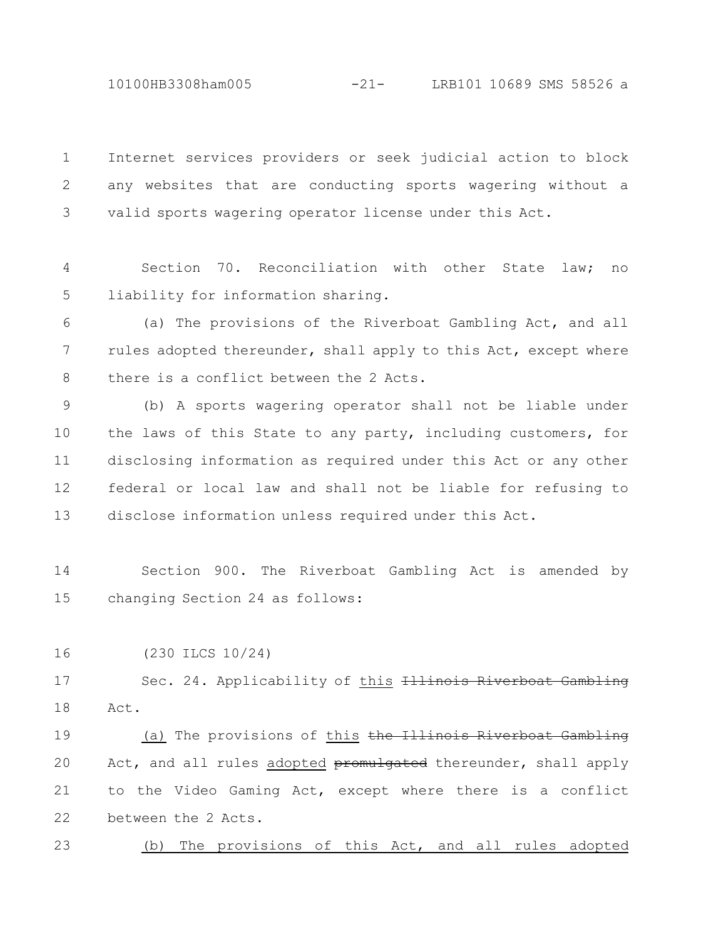10100HB3308ham005 -21- LRB101 10689 SMS 58526 a

Internet services providers or seek judicial action to block any websites that are conducting sports wagering without a valid sports wagering operator license under this Act. 1 2 3

Section 70. Reconciliation with other State law; no liability for information sharing. 4 5

(a) The provisions of the Riverboat Gambling Act, and all rules adopted thereunder, shall apply to this Act, except where there is a conflict between the 2 Acts. 6 7 8

(b) A sports wagering operator shall not be liable under the laws of this State to any party, including customers, for disclosing information as required under this Act or any other federal or local law and shall not be liable for refusing to disclose information unless required under this Act. 9 10 11 12 13

Section 900. The Riverboat Gambling Act is amended by changing Section 24 as follows: 14 15

(230 ILCS 10/24) 16

Sec. 24. Applicability of this Illinois Riverboat Act. 17 18

(a) The provisions of this the Illinois Riverboat Gambling Act, and all rules adopted promulgated thereunder, shall apply to the Video Gaming Act, except where there is a conflict between the 2 Acts. 19 20 21 22

(b) The provisions of this Act, and all rules adopted 23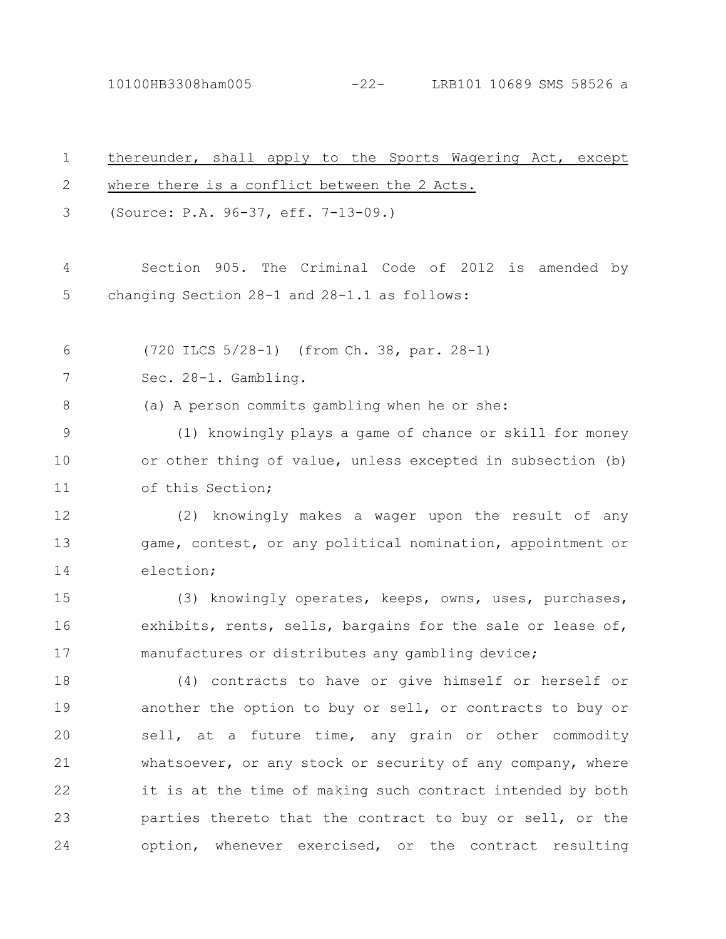10100HB3308ham005 -22- LRB101 10689 SMS 58526 a

| $\mathbf 1$ | thereunder, shall apply to the Sports Wagering Act, except |  |
|-------------|------------------------------------------------------------|--|
| 2           | where there is a conflict between the 2 Acts.              |  |
| 3           | (Source: P.A. 96-37, eff. 7-13-09.)                        |  |
| 4           | Section 905. The Criminal Code of 2012 is amended by       |  |
| 5           | changing Section 28-1 and 28-1.1 as follows:               |  |
| 6           | (720 ILCS 5/28-1) (from Ch. 38, par. 28-1)                 |  |
| 7           | Sec. 28-1. Gambling.                                       |  |
| 8           | (a) A person commits gambling when he or she:              |  |
| 9           | (1) knowingly plays a game of chance or skill for money    |  |
| 10          | or other thing of value, unless excepted in subsection (b) |  |
| 11          | of this Section;                                           |  |
| 12          | (2) knowingly makes a wager upon the result of any         |  |
| 13          | game, contest, or any political nomination, appointment or |  |
| 14          | election;                                                  |  |
| 15          | (3) knowingly operates, keeps, owns, uses, purchases,      |  |
| 16          | exhibits, rents, sells, bargains for the sale or lease of, |  |
| 17          | manufactures or distributes any gambling device;           |  |
| 18          | (4) contracts to have or give himself or herself or        |  |
| 19          | another the option to buy or sell, or contracts to buy or  |  |
| 20          | sell, at a future time, any grain or other commodity       |  |
| 21          | whatsoever, or any stock or security of any company, where |  |
| 22          | it is at the time of making such contract intended by both |  |
| 23          | parties thereto that the contract to buy or sell, or the   |  |
| 24          | option, whenever exercised, or the contract resulting      |  |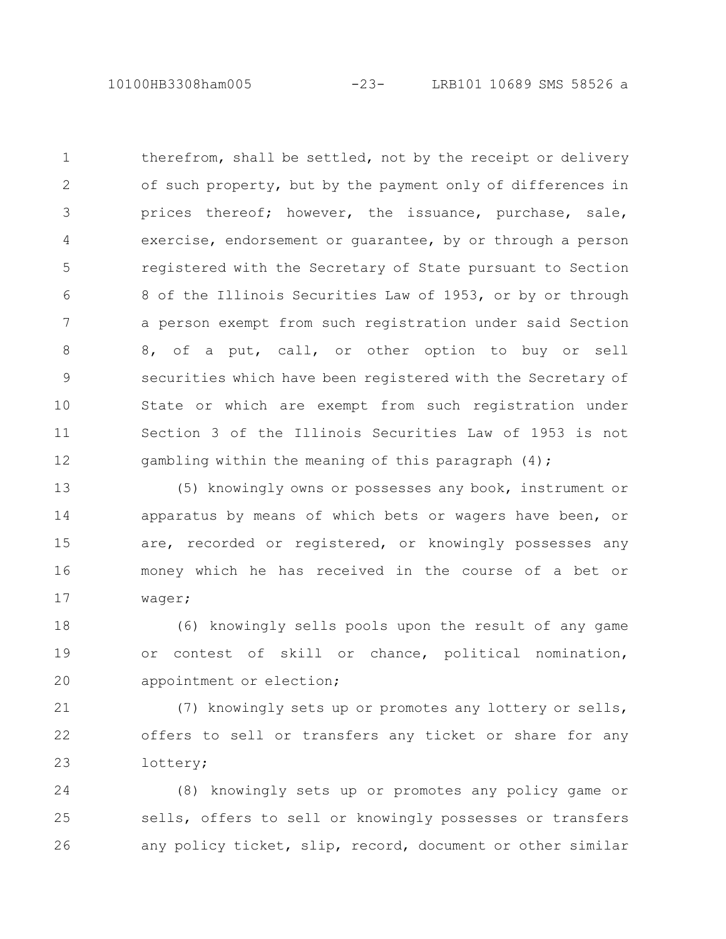10100HB3308ham005 -23- LRB101 10689 SMS 58526 a

therefrom, shall be settled, not by the receipt or delivery of such property, but by the payment only of differences in prices thereof; however, the issuance, purchase, sale, exercise, endorsement or guarantee, by or through a person registered with the Secretary of State pursuant to Section 8 of the Illinois Securities Law of 1953, or by or through a person exempt from such registration under said Section 8, of a put, call, or other option to buy or sell securities which have been registered with the Secretary of State or which are exempt from such registration under Section 3 of the Illinois Securities Law of 1953 is not gambling within the meaning of this paragraph (4); 1 2 3 4 5 6 7 8 9 10 11 12

(5) knowingly owns or possesses any book, instrument or apparatus by means of which bets or wagers have been, or are, recorded or registered, or knowingly possesses any money which he has received in the course of a bet or wager; 13 14 15 16 17

(6) knowingly sells pools upon the result of any game or contest of skill or chance, political nomination, appointment or election; 18 19 20

(7) knowingly sets up or promotes any lottery or sells, offers to sell or transfers any ticket or share for any lottery; 21 22 23

(8) knowingly sets up or promotes any policy game or sells, offers to sell or knowingly possesses or transfers any policy ticket, slip, record, document or other similar 24 25 26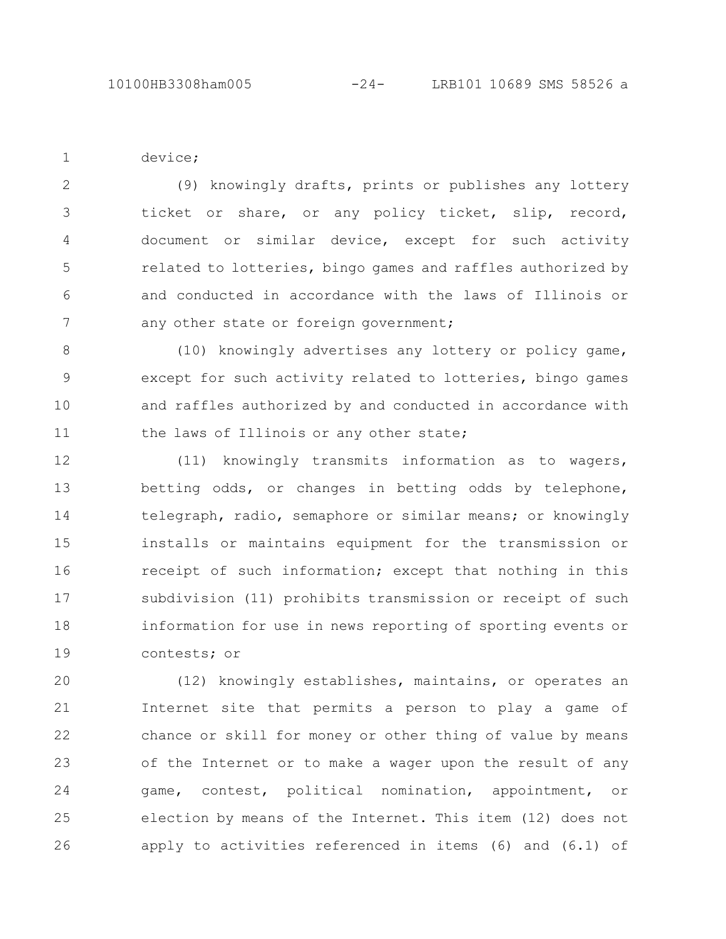device;

1

(9) knowingly drafts, prints or publishes any lottery ticket or share, or any policy ticket, slip, record, document or similar device, except for such activity related to lotteries, bingo games and raffles authorized by and conducted in accordance with the laws of Illinois or any other state or foreign government; 2 3 4 5 6 7

(10) knowingly advertises any lottery or policy game, except for such activity related to lotteries, bingo games and raffles authorized by and conducted in accordance with the laws of Illinois or any other state; 8 9 10 11

(11) knowingly transmits information as to wagers, betting odds, or changes in betting odds by telephone, telegraph, radio, semaphore or similar means; or knowingly installs or maintains equipment for the transmission or receipt of such information; except that nothing in this subdivision (11) prohibits transmission or receipt of such information for use in news reporting of sporting events or contests; or 12 13 14 15 16 17 18 19

(12) knowingly establishes, maintains, or operates an Internet site that permits a person to play a game of chance or skill for money or other thing of value by means of the Internet or to make a wager upon the result of any game, contest, political nomination, appointment, or election by means of the Internet. This item (12) does not apply to activities referenced in items (6) and (6.1) of 20 21 22 23 24 25 26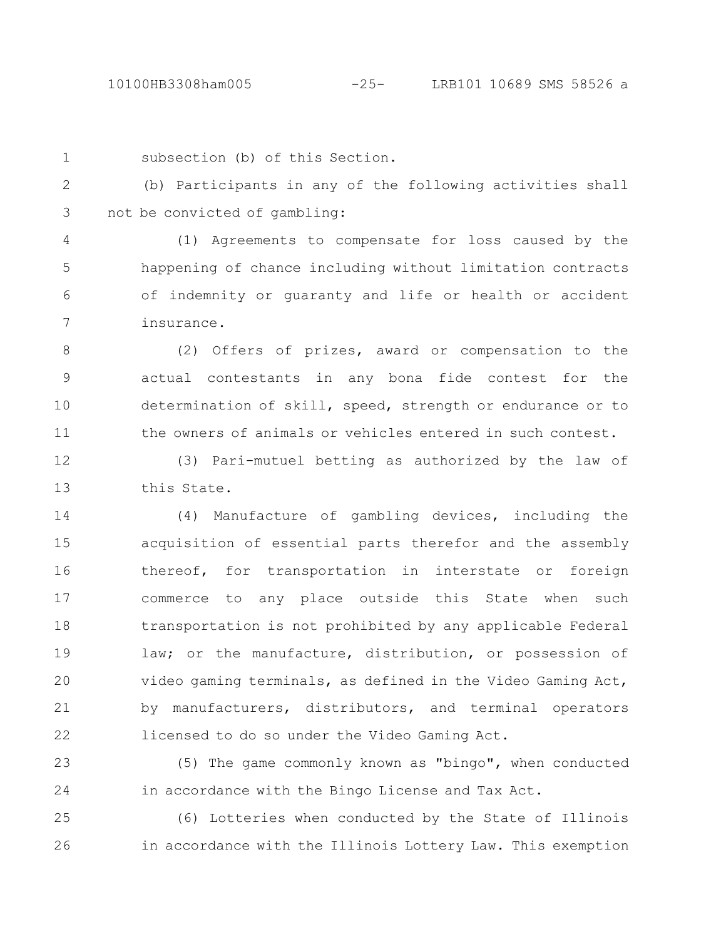subsection (b) of this Section. 1

(b) Participants in any of the following activities shall not be convicted of gambling: 2 3

(1) Agreements to compensate for loss caused by the happening of chance including without limitation contracts of indemnity or guaranty and life or health or accident insurance. 4 5 6 7

(2) Offers of prizes, award or compensation to the actual contestants in any bona fide contest for the determination of skill, speed, strength or endurance or to the owners of animals or vehicles entered in such contest. 8 9 10 11

(3) Pari-mutuel betting as authorized by the law of this State. 12 13

(4) Manufacture of gambling devices, including the acquisition of essential parts therefor and the assembly thereof, for transportation in interstate or foreign commerce to any place outside this State when such transportation is not prohibited by any applicable Federal law; or the manufacture, distribution, or possession of video gaming terminals, as defined in the Video Gaming Act, by manufacturers, distributors, and terminal operators licensed to do so under the Video Gaming Act. 14 15 16 17 18 19 20 21 22

(5) The game commonly known as "bingo", when conducted in accordance with the Bingo License and Tax Act. 23 24

(6) Lotteries when conducted by the State of Illinois in accordance with the Illinois Lottery Law. This exemption 25 26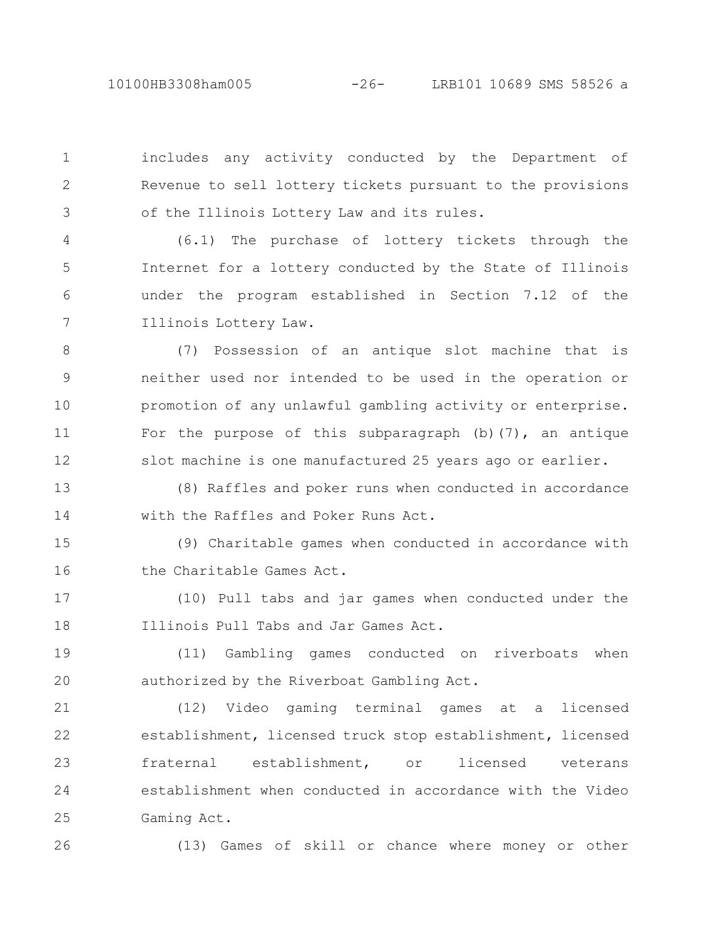10100HB3308ham005 -26- LRB101 10689 SMS 58526 a

includes any activity conducted by the Department of Revenue to sell lottery tickets pursuant to the provisions of the Illinois Lottery Law and its rules. 1 2 3

(6.1) The purchase of lottery tickets through the Internet for a lottery conducted by the State of Illinois under the program established in Section 7.12 of the Illinois Lottery Law. 4 5 6 7

(7) Possession of an antique slot machine that is neither used nor intended to be used in the operation or promotion of any unlawful gambling activity or enterprise. For the purpose of this subparagraph (b)(7), an antique slot machine is one manufactured 25 years ago or earlier. 8 9 10 11 12

(8) Raffles and poker runs when conducted in accordance with the Raffles and Poker Runs Act. 13 14

(9) Charitable games when conducted in accordance with the Charitable Games Act. 15 16

(10) Pull tabs and jar games when conducted under the Illinois Pull Tabs and Jar Games Act. 17 18

(11) Gambling games conducted on riverboats when authorized by the Riverboat Gambling Act. 19 20

(12) Video gaming terminal games at a licensed establishment, licensed truck stop establishment, licensed fraternal establishment, or licensed veterans establishment when conducted in accordance with the Video Gaming Act. 21 22 23 24 25

26

(13) Games of skill or chance where money or other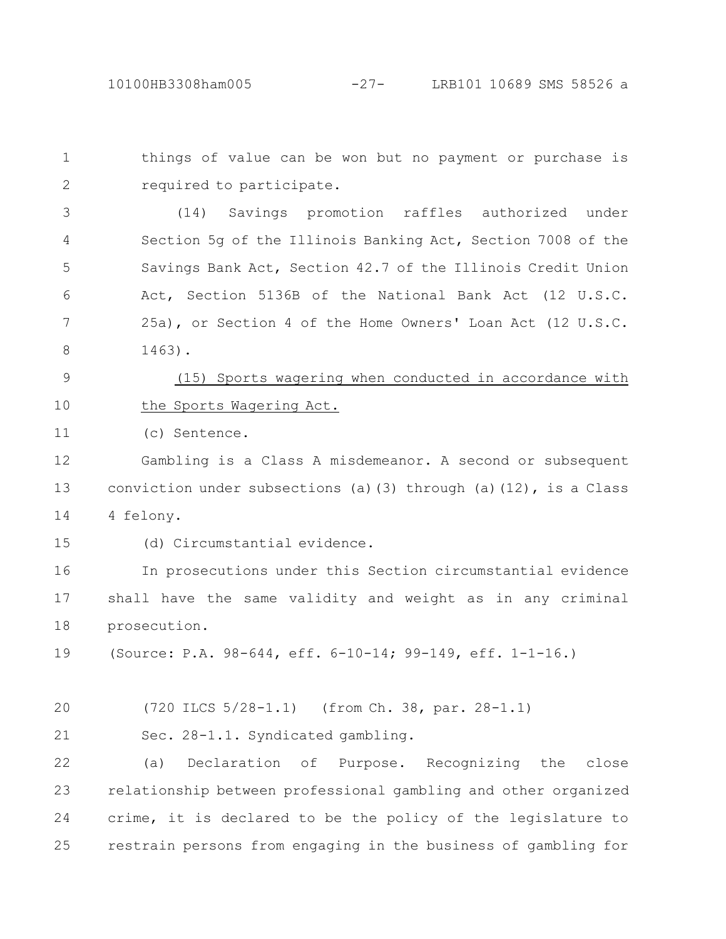things of value can be won but no payment or purchase is required to participate. 1 2

(14) Savings promotion raffles authorized under Section 5g of the Illinois Banking Act, Section 7008 of the Savings Bank Act, Section 42.7 of the Illinois Credit Union Act, Section 5136B of the National Bank Act (12 U.S.C. 25a), or Section 4 of the Home Owners' Loan Act (12 U.S.C. 1463). 3 4 5 6 7 8

(15) Sports wagering when conducted in accordance with the Sports Wagering Act. 9 10

(c) Sentence. 11

Gambling is a Class A misdemeanor. A second or subsequent conviction under subsections (a)(3) through (a)(12), is a Class 4 felony. 12 13 14

15

(d) Circumstantial evidence.

In prosecutions under this Section circumstantial evidence shall have the same validity and weight as in any criminal prosecution. 16 17 18

(Source: P.A. 98-644, eff. 6-10-14; 99-149, eff. 1-1-16.) 19

(720 ILCS 5/28-1.1) (from Ch. 38, par. 28-1.1) 20

Sec. 28-1.1. Syndicated gambling. 21

(a) Declaration of Purpose. Recognizing the close relationship between professional gambling and other organized crime, it is declared to be the policy of the legislature to restrain persons from engaging in the business of gambling for 22 23 24 25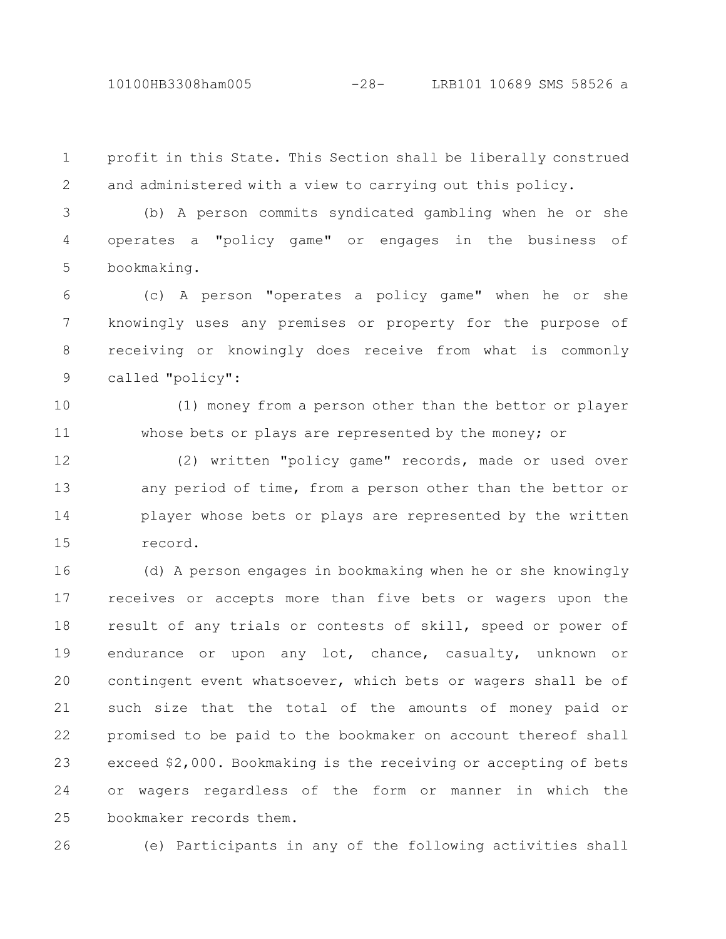10100HB3308ham005 -28- LRB101 10689 SMS 58526 a

profit in this State. This Section shall be liberally construed and administered with a view to carrying out this policy. 1 2

(b) A person commits syndicated gambling when he or she operates a "policy game" or engages in the business of bookmaking. 3 4 5

(c) A person "operates a policy game" when he or she knowingly uses any premises or property for the purpose of receiving or knowingly does receive from what is commonly called "policy": 6 7 8 9

(1) money from a person other than the bettor or player whose bets or plays are represented by the money; or 10 11

(2) written "policy game" records, made or used over any period of time, from a person other than the bettor or player whose bets or plays are represented by the written record. 12 13 14 15

(d) A person engages in bookmaking when he or she knowingly receives or accepts more than five bets or wagers upon the result of any trials or contests of skill, speed or power of endurance or upon any lot, chance, casualty, unknown or contingent event whatsoever, which bets or wagers shall be of such size that the total of the amounts of money paid or promised to be paid to the bookmaker on account thereof shall exceed \$2,000. Bookmaking is the receiving or accepting of bets or wagers regardless of the form or manner in which the bookmaker records them. 16 17 18 19 20 21 22 23 24 25

26

(e) Participants in any of the following activities shall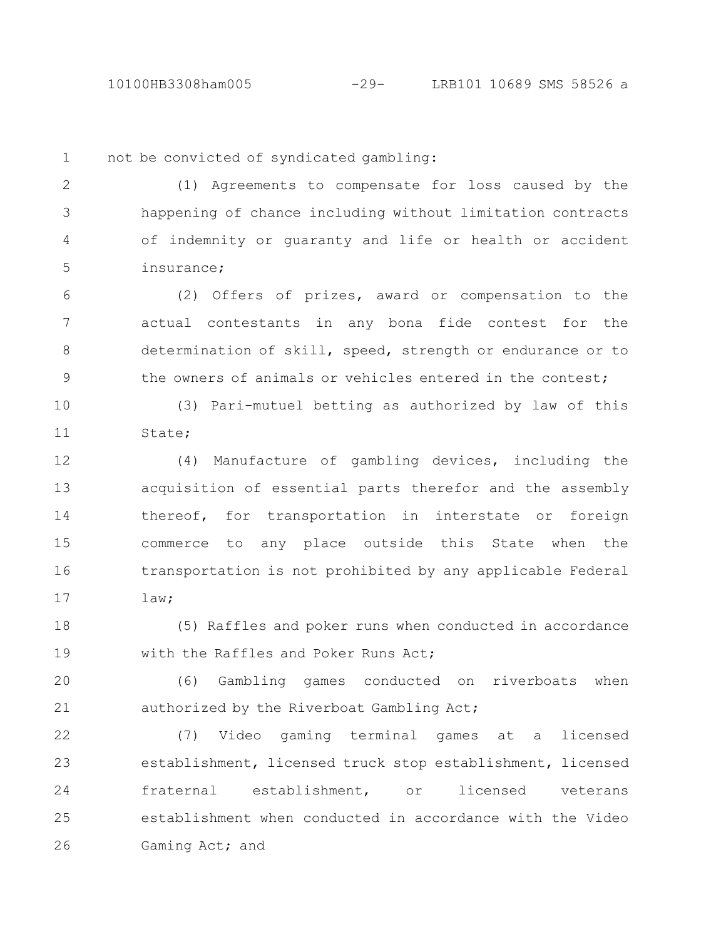10100HB3308ham005 -29- LRB101 10689 SMS 58526 a

1

not be convicted of syndicated gambling:

(1) Agreements to compensate for loss caused by the happening of chance including without limitation contracts of indemnity or guaranty and life or health or accident insurance; 2 3 4 5

(2) Offers of prizes, award or compensation to the actual contestants in any bona fide contest for the determination of skill, speed, strength or endurance or to the owners of animals or vehicles entered in the contest; 6 7 8 9

(3) Pari-mutuel betting as authorized by law of this State; 10 11

(4) Manufacture of gambling devices, including the acquisition of essential parts therefor and the assembly thereof, for transportation in interstate or foreign commerce to any place outside this State when the transportation is not prohibited by any applicable Federal law; 12 13 14 15 16 17

(5) Raffles and poker runs when conducted in accordance with the Raffles and Poker Runs Act; 18 19

(6) Gambling games conducted on riverboats when authorized by the Riverboat Gambling Act; 20 21

(7) Video gaming terminal games at a licensed establishment, licensed truck stop establishment, licensed fraternal establishment, or licensed veterans establishment when conducted in accordance with the Video Gaming Act; and 22 23 24 25 26